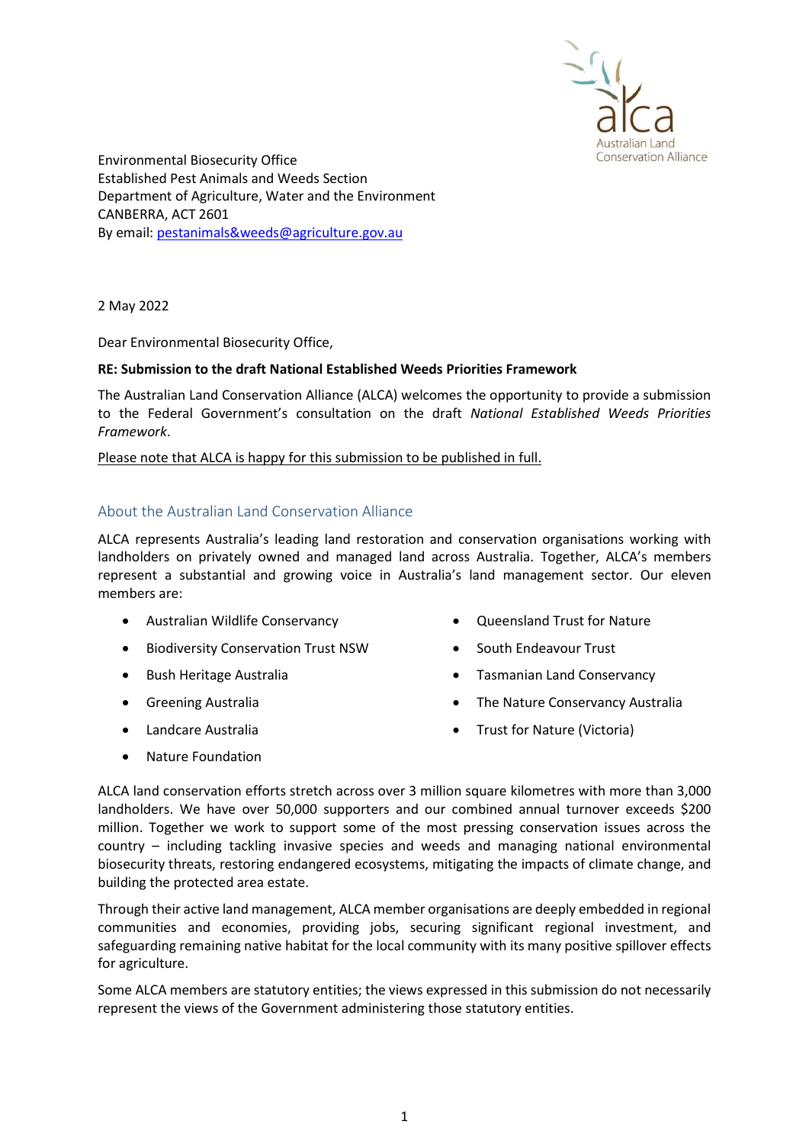

Environmental Biosecurity Office Established Pest Animals and Weeds Section Department of Agriculture, Water and the Environment CANBERRA, ACT 2601 By email: pestanimals&weeds@agriculture.gov.au

2 May 2022

Dear Environmental Biosecurity Office,

#### RE: Submission to the draft National Established Weeds Priorities Framework

The Australian Land Conservation Alliance (ALCA) welcomes the opportunity to provide a submission to the Federal Government's consultation on the draft National Established Weeds Priorities Framework.

Please note that ALCA is happy for this submission to be published in full.

# About the Australian Land Conservation Alliance

ALCA represents Australia's leading land restoration and conservation organisations working with landholders on privately owned and managed land across Australia. Together, ALCA's members represent a substantial and growing voice in Australia's land management sector. Our eleven members are:

- Australian Wildlife Conservancy
- **•** Biodiversity Conservation Trust NSW
- Bush Heritage Australia
- **•** Greening Australia
- Landcare Australia
- Oueensland Trust for Nature
- South Endeavour Trust
- Tasmanian Land Conservancy
- The Nature Conservancy Australia
- Trust for Nature (Victoria)

• Nature Foundation

ALCA land conservation efforts stretch across over 3 million square kilometres with more than 3,000 landholders. We have over 50,000 supporters and our combined annual turnover exceeds \$200 million. Together we work to support some of the most pressing conservation issues across the country – including tackling invasive species and weeds and managing national environmental biosecurity threats, restoring endangered ecosystems, mitigating the impacts of climate change, and building the protected area estate.

Through their active land management, ALCA member organisations are deeply embedded in regional communities and economies, providing jobs, securing significant regional investment, and safeguarding remaining native habitat for the local community with its many positive spillover effects for agriculture.

Some ALCA members are statutory entities; the views expressed in this submission do not necessarily represent the views of the Government administering those statutory entities.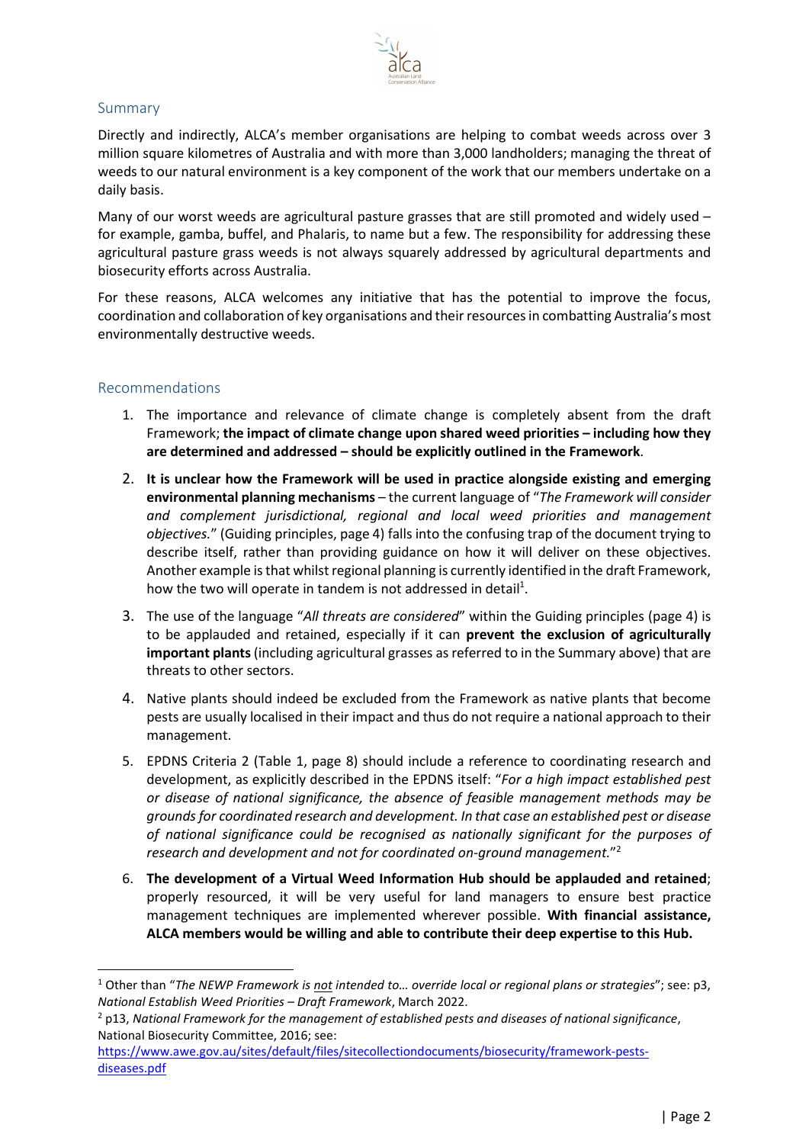

# Summary

Directly and indirectly, ALCA's member organisations are helping to combat weeds across over 3 million square kilometres of Australia and with more than 3,000 landholders; managing the threat of weeds to our natural environment is a key component of the work that our members undertake on a daily basis.

Many of our worst weeds are agricultural pasture grasses that are still promoted and widely used – for example, gamba, buffel, and Phalaris, to name but a few. The responsibility for addressing these agricultural pasture grass weeds is not always squarely addressed by agricultural departments and biosecurity efforts across Australia.

For these reasons, ALCA welcomes any initiative that has the potential to improve the focus, coordination and collaboration of key organisations and their resources in combatting Australia's most environmentally destructive weeds.

### Recommendations

- 1. The importance and relevance of climate change is completely absent from the draft Framework; the impact of climate change upon shared weed priorities – including how they are determined and addressed – should be explicitly outlined in the Framework.
- 2. It is unclear how the Framework will be used in practice alongside existing and emerging environmental planning mechanisms – the current language of "The Framework will consider and complement jurisdictional, regional and local weed priorities and management objectives." (Guiding principles, page 4) falls into the confusing trap of the document trying to describe itself, rather than providing guidance on how it will deliver on these objectives. Another example is that whilst regional planning is currently identified in the draft Framework, how the two will operate in tandem is not addressed in detail<sup>1</sup>.
- 3. The use of the language "All threats are considered" within the Guiding principles (page 4) is to be applauded and retained, especially if it can prevent the exclusion of agriculturally important plants (including agricultural grasses as referred to in the Summary above) that are threats to other sectors.
- 4. Native plants should indeed be excluded from the Framework as native plants that become pests are usually localised in their impact and thus do not require a national approach to their management.
- 5. EPDNS Criteria 2 (Table 1, page 8) should include a reference to coordinating research and development, as explicitly described in the EPDNS itself: "For a high impact established pest or disease of national significance, the absence of feasible management methods may be grounds for coordinated research and development. In that case an established pest or disease of national significance could be recognised as nationally significant for the purposes of research and development and not for coordinated on-ground management."<sup>2</sup>
- 6. The development of a Virtual Weed Information Hub should be applauded and retained; properly resourced, it will be very useful for land managers to ensure best practice management techniques are implemented wherever possible. With financial assistance, ALCA members would be willing and able to contribute their deep expertise to this Hub.

<sup>&</sup>lt;sup>1</sup> Other than "The NEWP Framework is not intended to... override local or regional plans or strategies"; see: p3, National Establish Weed Priorities – Draft Framework, March 2022.

 $<sup>2</sup>$  p13, National Framework for the management of established pests and diseases of national significance,</sup> National Biosecurity Committee, 2016; see:

https://www.awe.gov.au/sites/default/files/sitecollectiondocuments/biosecurity/framework-pestsdiseases.pdf